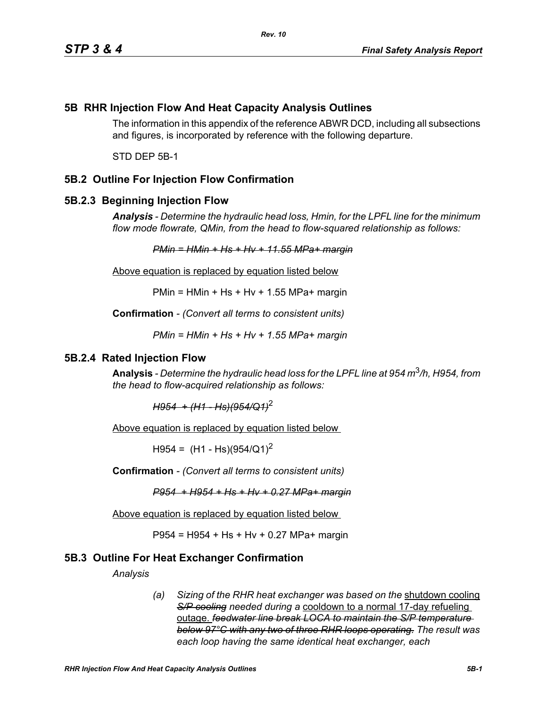# **5B RHR Injection Flow And Heat Capacity Analysis Outlines**

The information in this appendix of the reference ABWR DCD, including all subsections and figures, is incorporated by reference with the following departure.

STD DEP 5B-1

## **5B.2 Outline For Injection Flow Confirmation**

#### **5B.2.3 Beginning Injection Flow**

*Analysis - Determine the hydraulic head loss, Hmin, for the LPFL line for the minimum flow mode flowrate, QMin, from the head to flow-squared relationship as follows:*

*PMin = HMin + Hs + Hv + 11.55 MPa+ margin*

Above equation is replaced by equation listed below

 $PMin = HMin + Hs + Hv + 1.55 MPa + margin$ 

**Confirmation** *- (Convert all terms to consistent units)*

*PMin = HMin + Hs + Hv + 1.55 MPa+ margin*

### **5B.2.4 Rated Injection Flow**

**Analysis** *- Determine the hydraulic head loss for the LPFL line at 954 m*3*/h, H954, from the head to flow-acquired relationship as follows:*

*H954 + (H1 - Hs)(954/Q1)*<sup>2</sup>

Above equation is replaced by equation listed below

 $H954 = (H1 - Hs)(954/Q1)^2$ 

**Confirmation** *- (Convert all terms to consistent units)*

*P954 + H954 + Hs + Hv + 0.27 MPa+ margin*

Above equation is replaced by equation listed below

P954 = H954 + Hs + Hv + 0.27 MPa+ margin

### **5B.3 Outline For Heat Exchanger Confirmation**

*Analysis*

*(a) Sizing of the RHR heat exchanger was based on the* shutdown cooling *S/P cooling needed during a* cooldown to a normal 17-day refueling outage. *feedwater line break LOCA to maintain the S/P temperature below 97°C with any two of three RHR loops operating. The result was each loop having the same identical heat exchanger, each*